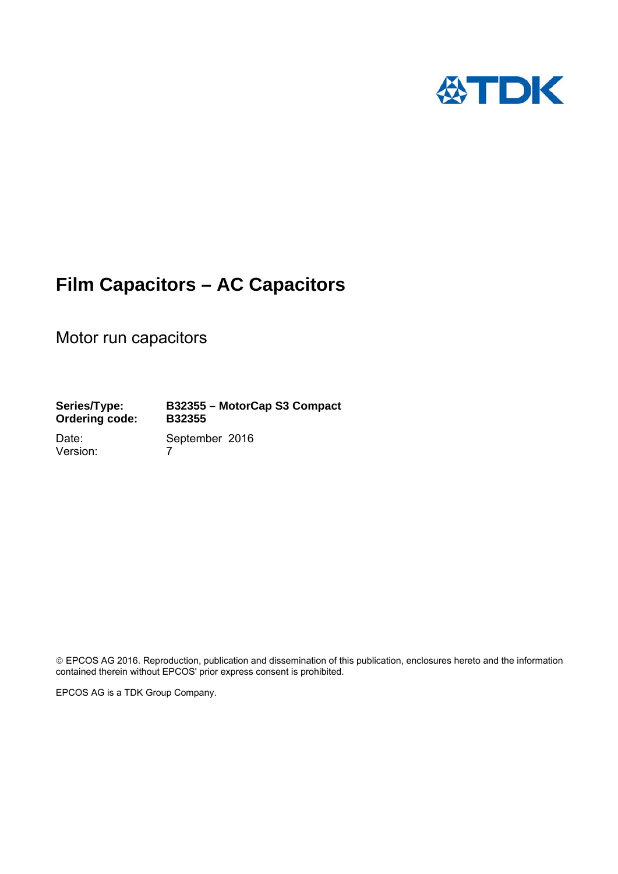

## **Film Capacitors – AC Capacitors**

Motor run capacitors

**Series/Type: B32355 – MotorCap S3 Compact Ordering code: B32355** 

Version: 7

Date: September 2016

 EPCOS AG 2016. Reproduction, publication and dissemination of this publication, enclosures hereto and the information contained therein without EPCOS' prior express consent is prohibited.

EPCOS AG is a TDK Group Company.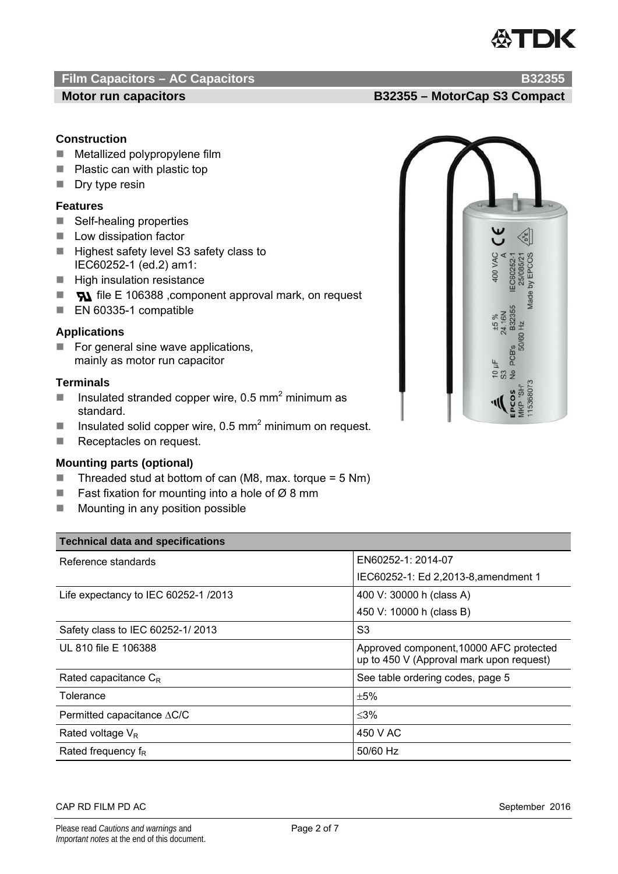# **ATDK**

### **Film Capacitors – AC Capacitors B32355 B32355**

### **Construction**

- Metallized polypropylene film
- Plastic can with plastic top
- $\blacksquare$  Dry type resin

### **Features**

- Self-healing properties
- **Low dissipation factor**
- Highest safety level S3 safety class to IEC60252-1 (ed.2) am1:
- $\blacksquare$  High insulation resistance
- $\blacksquare$   $\blacksquare$  file E 106388 , component approval mark, on request
- EN 60335-1 compatible

### **Applications**

 $\blacksquare$  For general sine wave applications, mainly as motor run capacitor

### **Terminals**

- Insulated stranded copper wire, 0.5 mm<sup>2</sup> minimum as standard.
- **IDED** Insulated solid copper wire, 0.5 mm<sup>2</sup> minimum on request.
- Receptacles on request.

### **Mounting parts (optional)**

- Threaded stud at bottom of can (M8, max. torque =  $5 \text{ Nm}$ )
- Fast fixation for mounting into a hole of  $Ø$  8 mm
- $\blacksquare$  Mounting in any position possible

| <b>Technical data and specifications</b> |                                                                                     |  |  |  |
|------------------------------------------|-------------------------------------------------------------------------------------|--|--|--|
| Reference standards                      | EN60252-1: 2014-07                                                                  |  |  |  |
|                                          | IEC60252-1: Ed 2,2013-8, amendment 1                                                |  |  |  |
| Life expectancy to IEC 60252-1 /2013     | 400 V: 30000 h (class A)                                                            |  |  |  |
|                                          | 450 V: 10000 h (class B)                                                            |  |  |  |
| Safety class to IEC 60252-1/2013         | S <sub>3</sub>                                                                      |  |  |  |
| UL 810 file E 106388                     | Approved component, 10000 AFC protected<br>up to 450 V (Approval mark upon request) |  |  |  |
| Rated capacitance $C_R$                  | See table ordering codes, page 5                                                    |  |  |  |
| Tolerance                                | ±5%                                                                                 |  |  |  |
| Permitted capacitance $\triangle C/C$    | $\leq 3\%$                                                                          |  |  |  |
| Rated voltage $V_R$                      | 450 V AC                                                                            |  |  |  |
| Rated frequency $f_R$                    | 50/60 Hz                                                                            |  |  |  |

### CAP RD FILM PD AC September 2016



**Motor run capacitors Motor Capacitors EXALCO EXAMPLE 232355 – MotorCap S3 Compact**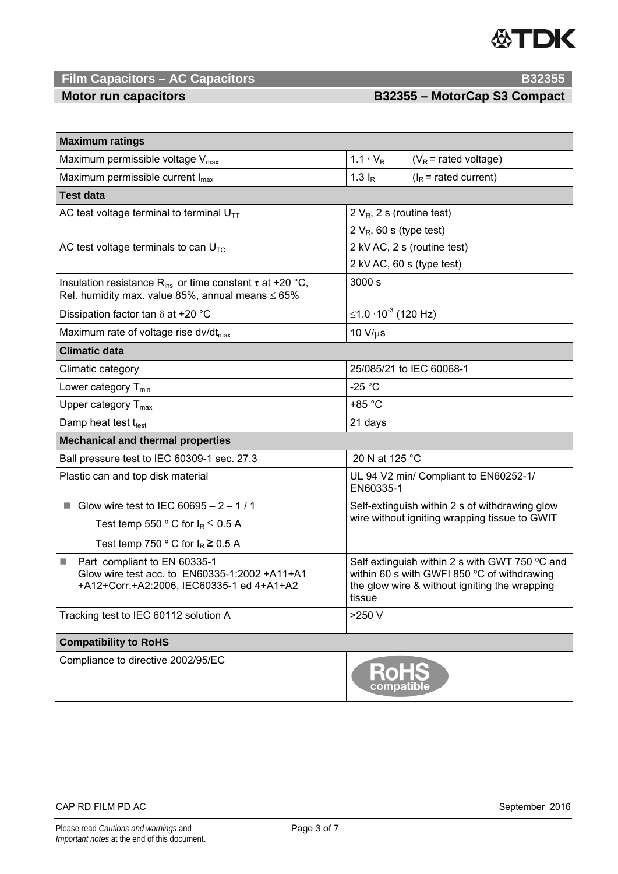

### **Film Capacitors – AC Capacitors B32355 <b>B32355**

**Motor run capacitors Motor Capacitors E32355 – MotorCap S3 Compact** 

| <b>Maximum ratings</b>                                                                                                              |                                                                                                                                                          |  |  |  |  |  |
|-------------------------------------------------------------------------------------------------------------------------------------|----------------------------------------------------------------------------------------------------------------------------------------------------------|--|--|--|--|--|
| Maximum permissible voltage $V_{\text{max}}$                                                                                        | $1.1 \cdot V_R$<br>$(V_R = \text{rated voltage})$                                                                                                        |  |  |  |  |  |
| Maximum permissible current $I_{max}$                                                                                               | 1.3 $I_R$<br>$(I_R = \text{rated current})$                                                                                                              |  |  |  |  |  |
| <b>Test data</b>                                                                                                                    |                                                                                                                                                          |  |  |  |  |  |
| AC test voltage terminal to terminal $U_{TT}$                                                                                       | 2 $V_R$ , 2 s (routine test)                                                                                                                             |  |  |  |  |  |
|                                                                                                                                     | 2 $V_R$ , 60 s (type test)                                                                                                                               |  |  |  |  |  |
| AC test voltage terminals to can $UTC$                                                                                              | 2 kV AC, 2 s (routine test)                                                                                                                              |  |  |  |  |  |
|                                                                                                                                     | 2 kV AC, 60 s (type test)                                                                                                                                |  |  |  |  |  |
| Insulation resistance R <sub>ins</sub> or time constant $\tau$ at +20 °C,<br>Rel. humidity max. value 85%, annual means $\leq 65\%$ | 3000 s                                                                                                                                                   |  |  |  |  |  |
| Dissipation factor tan $\delta$ at +20 °C                                                                                           | ≤1.0 $\cdot$ 10 <sup>-3</sup> (120 Hz)                                                                                                                   |  |  |  |  |  |
| Maximum rate of voltage rise dv/dt <sub>max</sub>                                                                                   | $10 V/\mu s$                                                                                                                                             |  |  |  |  |  |
| <b>Climatic data</b>                                                                                                                |                                                                                                                                                          |  |  |  |  |  |
| Climatic category                                                                                                                   | 25/085/21 to IEC 60068-1                                                                                                                                 |  |  |  |  |  |
| Lower category $T_{min}$                                                                                                            | $-25 °C$                                                                                                                                                 |  |  |  |  |  |
| Upper category $T_{\text{max}}$                                                                                                     | $+85 °C$                                                                                                                                                 |  |  |  |  |  |
| Damp heat test ttest                                                                                                                | 21 days                                                                                                                                                  |  |  |  |  |  |
| <b>Mechanical and thermal properties</b>                                                                                            |                                                                                                                                                          |  |  |  |  |  |
| Ball pressure test to IEC 60309-1 sec. 27.3                                                                                         | 20 N at 125 °C                                                                                                                                           |  |  |  |  |  |
| Plastic can and top disk material                                                                                                   | UL 94 V2 min/ Compliant to EN60252-1/<br>EN60335-1                                                                                                       |  |  |  |  |  |
| Glow wire test to IEC 60695 - $2 - 1/1$                                                                                             | Self-extinguish within 2 s of withdrawing glow<br>wire without igniting wrapping tissue to GWIT                                                          |  |  |  |  |  |
| Test temp 550 $\degree$ C for $I_R \leq 0.5$ A                                                                                      |                                                                                                                                                          |  |  |  |  |  |
| Test temp 750 ° C for $I_R \ge 0.5$ A                                                                                               |                                                                                                                                                          |  |  |  |  |  |
| Part compliant to EN 60335-1<br>u.<br>Glow wire test acc. to EN60335-1:2002 +A11+A1<br>+A12+Corr.+A2:2006, IEC60335-1 ed 4+A1+A2    | Self extinguish within 2 s with GWT 750 °C and<br>within 60 s with GWFI 850 °C of withdrawing<br>the glow wire & without igniting the wrapping<br>tissue |  |  |  |  |  |
| Tracking test to IEC 60112 solution A                                                                                               | >250 V                                                                                                                                                   |  |  |  |  |  |
| <b>Compatibility to RoHS</b>                                                                                                        |                                                                                                                                                          |  |  |  |  |  |
| Compliance to directive 2002/95/EC                                                                                                  | compatible                                                                                                                                               |  |  |  |  |  |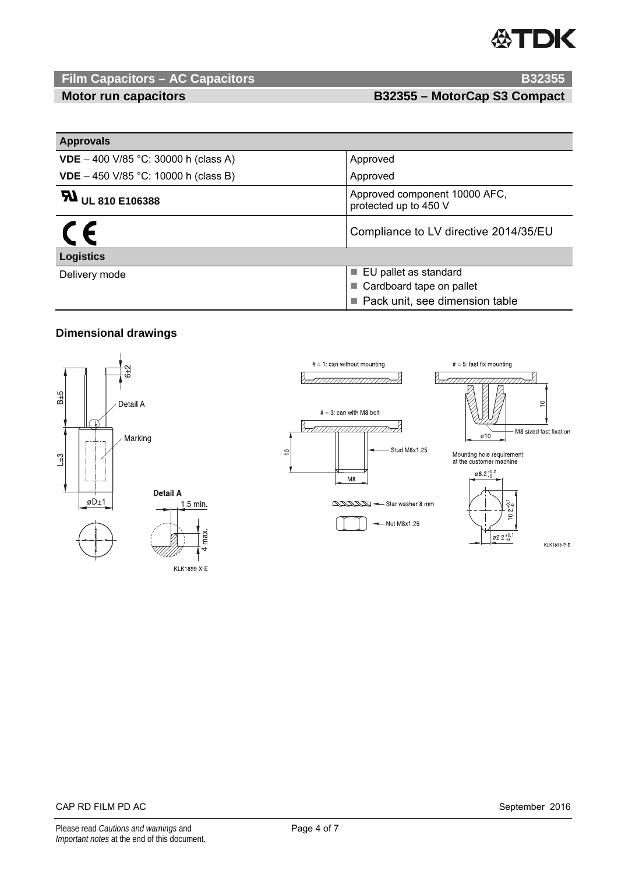# TDK

## **Film Capacitors – AC Capacitors B32355**

**Motor run capacitors Motor Capacitors E32355 – MotorCap S3 Compact** 

| <b>Approvals</b>                            |                                                        |  |  |
|---------------------------------------------|--------------------------------------------------------|--|--|
| <b>VDE</b> – 400 V/85 °C: 30000 h (class A) | Approved                                               |  |  |
| <b>VDE</b> – 450 V/85 °C: 10000 h (class B) | Approved                                               |  |  |
| <b>5 H</b> UL 810 E106388                   | Approved component 10000 AFC,<br>protected up to 450 V |  |  |
|                                             | Compliance to LV directive 2014/35/EU                  |  |  |
| <b>Logistics</b>                            |                                                        |  |  |
| Delivery mode                               | ■ EU pallet as standard                                |  |  |
|                                             | Cardboard tape on pallet                               |  |  |
|                                             | Pack unit, see dimension table                         |  |  |

### **Dimensional drawings**



max.

 $\overline{d}$ 

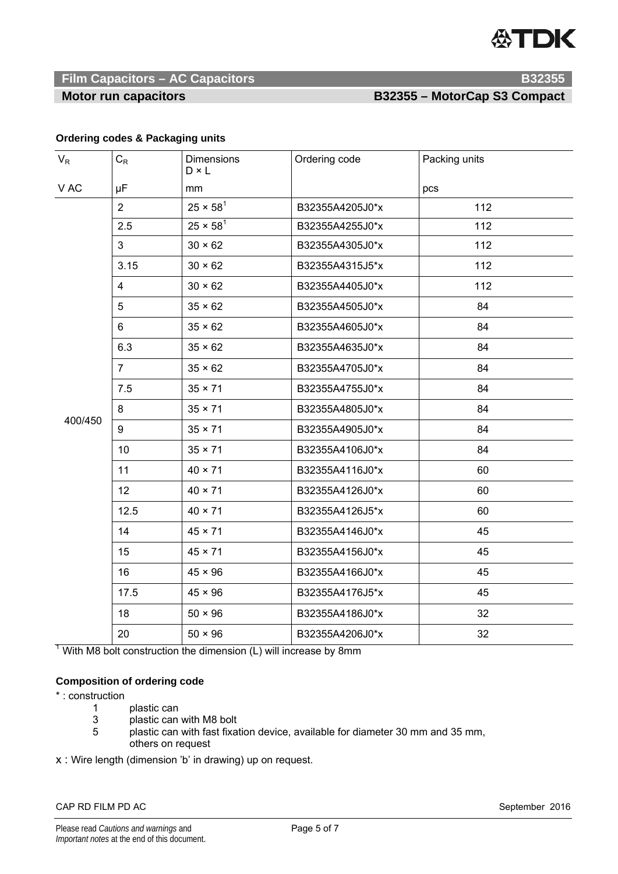# **ATDK**

### **Film Capacitors – AC Capacitors B32355 <b>B32355**

### **Motor run capacitors Motor Capacitors E32355 – MotorCap S3 Compact**

### **Ordering codes & Packaging units**

| $V_R$   | $\mathrm{C}_{\mathsf{R}}$ | Dimensions<br>$D \times L$ | Ordering code   | Packing units |
|---------|---------------------------|----------------------------|-----------------|---------------|
| V AC    | μF                        | mm                         |                 | pcs           |
| 400/450 | $\overline{2}$            | $25 \times 58^{1}$         | B32355A4205J0*x | 112           |
|         | 2.5                       | $25 \times 58^{1}$         | B32355A4255J0*x | 112           |
|         | 3 <sup>1</sup>            | $30 \times 62$             | B32355A4305J0*x | 112           |
|         | 3.15                      | $30 \times 62$             | B32355A4315J5*x | 112           |
|         | $\overline{4}$            | $30 \times 62$             | B32355A4405J0*x | 112           |
|         | 5                         | $35 \times 62$             | B32355A4505J0*x | 84            |
|         | 6                         | $35 \times 62$             | B32355A4605J0*x | 84            |
|         | 6.3                       | $35 \times 62$             | B32355A4635J0*x | 84            |
|         | $\overline{7}$            | $35 \times 62$             | B32355A4705J0*x | 84            |
|         | 7.5                       | $35 \times 71$             | B32355A4755J0*x | 84            |
|         | 8                         | $35 \times 71$             | B32355A4805J0*x | 84            |
|         | 9                         | $35 \times 71$             | B32355A4905J0*x | 84            |
|         | 10                        | $35 \times 71$             | B32355A4106J0*x | 84            |
|         | 11                        | $40 \times 71$             | B32355A4116J0*x | 60            |
|         | 12                        | $40 \times 71$             | B32355A4126J0*x | 60            |
|         | 12.5                      | $40 \times 71$             | B32355A4126J5*x | 60            |
|         | 14                        | $45 \times 71$             | B32355A4146J0*x | 45            |
|         | 15                        | $45 \times 71$             | B32355A4156J0*x | 45            |
|         | 16                        | $45 \times 96$             | B32355A4166J0*x | 45            |
|         | 17.5                      | $45 \times 96$             | B32355A4176J5*x | 45            |
|         | 18                        | $50 \times 96$             | B32355A4186J0*x | 32            |
|         | 20                        | $50 \times 96$             | B32355A4206J0*x | 32            |

 $1$  With M8 bolt construction the dimension (L) will increase by 8mm

### **Composition of ordering code**

\* : construction

- 1 plastic can
- 3 plastic can with M8 bolt<br>5 plastic can with fast fixat
- plastic can with fast fixation device, available for diameter 30 mm and 35 mm, others on request

x : Wire length (dimension 'b' in drawing) up on request.

### CAP RD FILM PD AC September 2016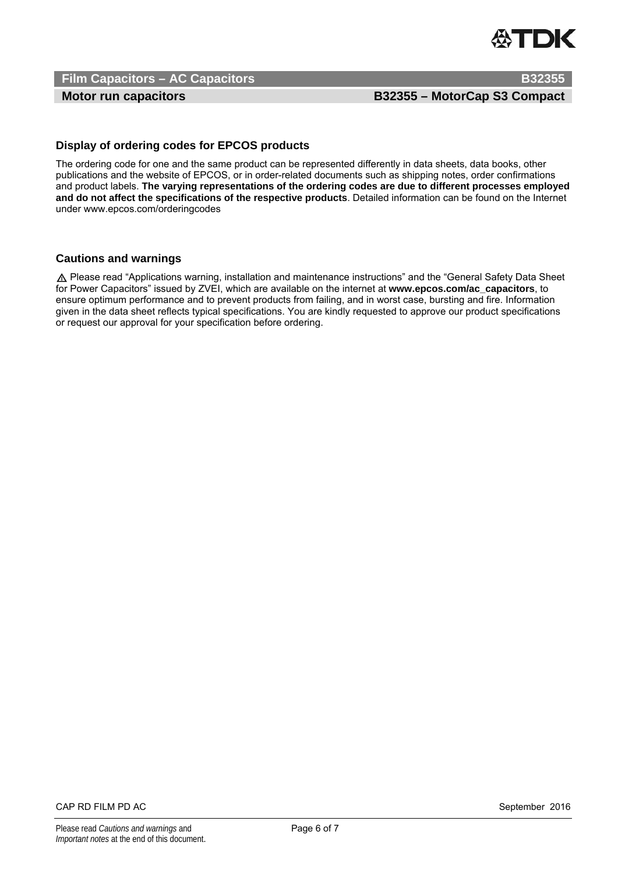

**Film Capacitors – AC Capacitors B32355 B32355** 

**Motor run capacitors MotorCap S3 Compact**  B32355 – MotorCap S3 Compact

### **Display of ordering codes for EPCOS products**

The ordering code for one and the same product can be represented differently in data sheets, data books, other publications and the website of EPCOS, or in order-related documents such as shipping notes, order confirmations and product labels. **The varying representations of the ordering codes are due to different processes employed and do not affect the specifications of the respective products**. Detailed information can be found on the Internet under www.epcos.com/orderingcodes

### **Cautions and warnings**

UPlease read "Applications warning, installation and maintenance instructions" and the "General Safety Data Sheet for Power Capacitors" issued by ZVEI, which are available on the internet at **www.epcos.com/ac\_capacitors**, to ensure optimum performance and to prevent products from failing, and in worst case, bursting and fire. Information given in the data sheet reflects typical specifications. You are kindly requested to approve our product specifications or request our approval for your specification before ordering.